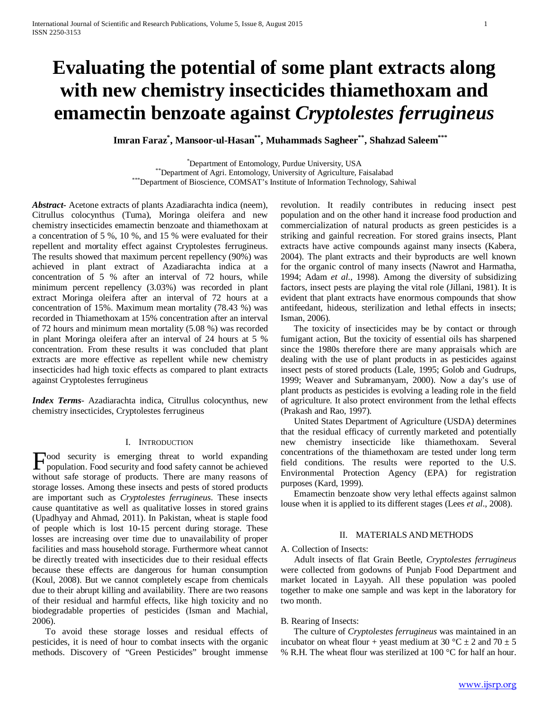# **Evaluating the potential of some plant extracts along with new chemistry insecticides thiamethoxam and emamectin benzoate against** *Cryptolestes ferrugineus*

 **Imran Faraz\* , Mansoor-ul-Hasan\*\*, Muhammads Sagheer\*\*, Shahzad Saleem\*\*\***

\*Department of Entomology, Purdue University, USA \*\*Department of Agri. Entomology, University of Agriculture, Faisalabad<br>\*\*\*Department of Bioscience, COMSAT's Institute of Information Technology, Sahiwal

*Abstract***-** Acetone extracts of plants Azadiarachta indica (neem), Citrullus colocynthus (Tuma), Moringa oleifera and new chemistry insecticides emamectin benzoate and thiamethoxam at a concentration of 5 %, 10 %, and 15 % were evaluated for their repellent and mortality effect against Cryptolestes ferrugineus. The results showed that maximum percent repellency (90%) was achieved in plant extract of Azadiarachta indica at a concentration of 5 % after an interval of 72 hours, while minimum percent repellency (3.03%) was recorded in plant extract Moringa oleifera after an interval of 72 hours at a concentration of 15%. Maximum mean mortality (78.43 %) was recorded in Thiamethoxam at 15% concentration after an interval of 72 hours and minimum mean mortality (5.08 %) was recorded in plant Moringa oleifera after an interval of 24 hours at 5 % concentration. From these results it was concluded that plant extracts are more effective as repellent while new chemistry insecticides had high toxic effects as compared to plant extracts against Cryptolestes ferrugineus

*Index Terms*- Azadiarachta indica, Citrullus colocynthus, new chemistry insecticides, Cryptolestes ferrugineus

#### I. INTRODUCTION

ood security is emerging threat to world expanding Food security is emerging threat to world expanding<br>population. Food security and food safety cannot be achieved without safe storage of products. There are many reasons of storage losses. Among these insects and pests of stored products are important such as *Cryptolestes ferrugineus*. These insects cause quantitative as well as qualitative losses in stored grains (Upadhyay and Ahmad, 2011). In Pakistan, wheat is staple food of people which is lost 10-15 percent during storage. These losses are increasing over time due to unavailability of proper facilities and mass household storage. Furthermore wheat cannot be directly treated with insecticides due to their residual effects because these effects are dangerous for human consumption (Koul, 2008). But we cannot completely escape from chemicals due to their abrupt killing and availability. There are two reasons of their residual and harmful effects, like high toxicity and no biodegradable properties of pesticides (Isman and Machial, 2006).

 To avoid these storage losses and residual effects of pesticides, it is need of hour to combat insects with the organic methods. Discovery of "Green Pesticides" brought immense revolution. It readily contributes in reducing insect pest population and on the other hand it increase food production and commercialization of natural products as green pesticides is a striking and gainful recreation. For stored grains insects, Plant extracts have active compounds against many insects (Kabera, 2004). The plant extracts and their byproducts are well known for the organic control of many insects (Nawrot and Harmatha, 1994; Adam *et al*., 1998). Among the diversity of subsidizing factors, insect pests are playing the vital role (Jillani, 1981). It is evident that plant extracts have enormous compounds that show antifeedant, hideous, sterilization and lethal effects in insects; Isman, 2006).

 The toxicity of insecticides may be by contact or through fumigant action, But the toxicity of essential oils has sharpened since the 1980s therefore there are many appraisals which are dealing with the use of plant products in as pesticides against insect pests of stored products (Lale, 1995; Golob and Gudrups, 1999; Weaver and Subramanyam, 2000). Now a day's use of plant products as pesticides is evolving a leading role in the field of agriculture. It also protect environment from the lethal effects (Prakash and Rao, 1997).

 United States Department of Agriculture (USDA) determines that the residual efficacy of currently marketed and potentially new chemistry insecticide like thiamethoxam. Several concentrations of the thiamethoxam are tested under long term field conditions. The results were reported to the U.S. Environmental Protection Agency (EPA) for registration purposes (Kard, 1999).

 Emamectin benzoate show very lethal effects against salmon louse when it is applied to its different stages (Lees *et al*., 2008).

## II. MATERIALS AND METHODS

A. Collection of Insects:

 Adult insects of flat Grain Beetle, *Cryptolestes ferrugineus* were collected from godowns of Punjab Food Department and market located in Layyah. All these population was pooled together to make one sample and was kept in the laboratory for two month.

#### B. Rearing of Insects:

 The culture of *Cryptolestes ferrugineus* was maintained in an incubator on wheat flour + yeast medium at 30 °C  $\pm$  2 and 70  $\pm$  5 % R.H. The wheat flour was sterilized at 100 °C for half an hour.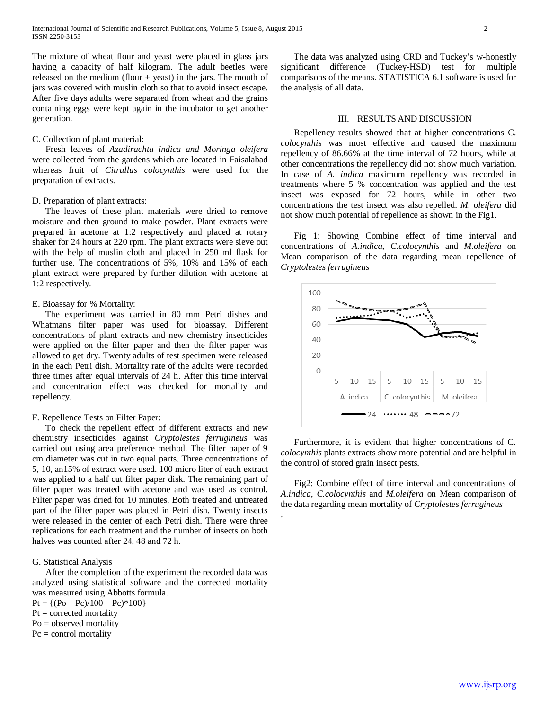The mixture of wheat flour and yeast were placed in glass jars having a capacity of half kilogram. The adult beetles were released on the medium (flour  $+$  yeast) in the jars. The mouth of jars was covered with muslin cloth so that to avoid insect escape. After five days adults were separated from wheat and the grains containing eggs were kept again in the incubator to get another generation.

#### C. Collection of plant material:

 Fresh leaves of *Azadirachta indica and Moringa oleifera*  were collected from the gardens which are located in Faisalabad whereas fruit of *Citrullus colocynthis* were used for the preparation of extracts.

#### D. Preparation of plant extracts:

 The leaves of these plant materials were dried to remove moisture and then ground to make powder. Plant extracts were prepared in acetone at 1:2 respectively and placed at rotary shaker for 24 hours at 220 rpm. The plant extracts were sieve out with the help of muslin cloth and placed in 250 ml flask for further use. The concentrations of 5%, 10% and 15% of each plant extract were prepared by further dilution with acetone at 1:2 respectively.

#### E. Bioassay for % Mortality:

 The experiment was carried in 80 mm Petri dishes and Whatmans filter paper was used for bioassay. Different concentrations of plant extracts and new chemistry insecticides were applied on the filter paper and then the filter paper was allowed to get dry. Twenty adults of test specimen were released in the each Petri dish. Mortality rate of the adults were recorded three times after equal intervals of 24 h. After this time interval and concentration effect was checked for mortality and repellency.

### F. Repellence Tests on Filter Paper:

 To check the repellent effect of different extracts and new chemistry insecticides against *Cryptolestes ferrugineus* was carried out using area preference method. The filter paper of 9 cm diameter was cut in two equal parts. Three concentrations of 5, 10, an15% of extract were used. 100 micro liter of each extract was applied to a half cut filter paper disk. The remaining part of filter paper was treated with acetone and was used as control. Filter paper was dried for 10 minutes. Both treated and untreated part of the filter paper was placed in Petri dish. Twenty insects were released in the center of each Petri dish. There were three replications for each treatment and the number of insects on both halves was counted after 24, 48 and 72 h.

## G. Statistical Analysis

 After the completion of the experiment the recorded data was analyzed using statistical software and the corrected mortality was measured using Abbotts formula.

 $Pt = \{(Po - Pc)/100 - Pc)^*100\}$ 

 $Pt = corrected$  mortality

Po = observed mortality

 $Pc = control mortality$ 

 The data was analyzed using CRD and Tuckey's w-honestly significant difference (Tuckey-HSD) test for multiple comparisons of the means. STATISTICA 6.1 software is used for the analysis of all data.

#### III. RESULTS AND DISCUSSION

 Repellency results showed that at higher concentrations C. *colocynthis* was most effective and caused the maximum repellency of 86.66% at the time interval of 72 hours, while at other concentrations the repellency did not show much variation. In case of *A. indica* maximum repellency was recorded in treatments where 5 % concentration was applied and the test insect was exposed for 72 hours, while in other two concentrations the test insect was also repelled. *M. oleifera* did not show much potential of repellence as shown in the Fig1.

 Fig 1: Showing Combine effect of time interval and concentrations of *A.indica, C.colocynthis* and *M.oleifera* on Mean comparison of the data regarding mean repellence of *Cryptolestes ferrugineus*



 Furthermore, it is evident that higher concentrations of C. *colocynthis* plants extracts show more potential and are helpful in the control of stored grain insect pests.

 Fig2: Combine effect of time interval and concentrations of *A.indica, C.colocynthis* and *M.oleifera* on Mean comparison of the data regarding mean mortality of *Cryptolestes ferrugineus*

.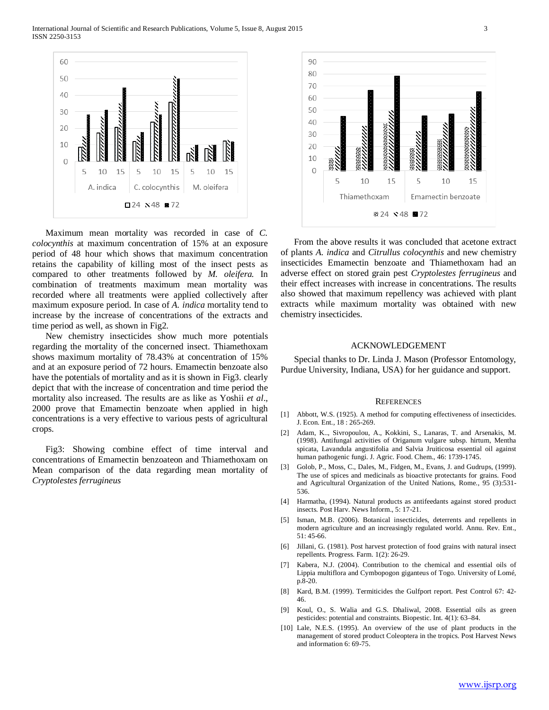

 Maximum mean mortality was recorded in case of *C. colocynthis* at maximum concentration of 15% at an exposure period of 48 hour which shows that maximum concentration retains the capability of killing most of the insect pests as compared to other treatments followed by *M. oleifera.* In combination of treatments maximum mean mortality was recorded where all treatments were applied collectively after maximum exposure period. In case of *A. indica* mortality tend to increase by the increase of concentrations of the extracts and time period as well, as shown in Fig2.

 New chemistry insecticides show much more potentials regarding the mortality of the concerned insect. Thiamethoxam shows maximum mortality of 78.43% at concentration of 15% and at an exposure period of 72 hours. Emamectin benzoate also have the potentials of mortality and as it is shown in Fig3. clearly depict that with the increase of concentration and time period the mortality also increased. The results are as like as Yoshii *et al*., 2000 prove that Emamectin benzoate when applied in high concentrations is a very effective to various pests of agricultural crops.

 Fig3: Showing combine effect of time interval and concentrations of Emamectin benzoateon and Thiamethoxam on Mean comparison of the data regarding mean mortality of *Cryptolestes ferrugineus*



 From the above results it was concluded that acetone extract of plants *A. indica* and *Citrullus colocynthis* and new chemistry insecticides Emamectin benzoate and Thiamethoxam had an adverse effect on stored grain pest *Cryptolestes ferrugineus* and their effect increases with increase in concentrations. The results also showed that maximum repellency was achieved with plant extracts while maximum mortality was obtained with new chemistry insecticides.

#### ACKNOWLEDGEMENT

 Special thanks to Dr. Linda J. Mason (Professor Entomology, Purdue University, Indiana, USA) for her guidance and support.

#### **REFERENCES**

- [1] Abbott, W.S. (1925). A method for computing effectiveness of insecticides. J. Econ. Ent., 18 : 265-269.
- [2] Adam, K.., Sivropoulou, A., Kokkini, S., Lanaras, T. and Arsenakis, M. (1998). Antifungal activities of Origanum vulgare subsp. hirtum, Mentha spicata, Lavandula angustifolia and Salvia Jruiticosa essential oil against human pathogenic fungi. J. Agric. Food. Chem., 46: 1739-1745.
- [3] Golob, P., Moss, C., Dales, M., Fidgen, M., Evans, J. and Gudrups, (1999). The use of spices and medicinals as bioactive protectants for grains. Food and Agricultural Organization of the United Nations, Rome., 95 (3):531- 536.
- [4] Harmatha, (1994). Natural products as antifeedants against stored product insects. Post Harv. News Inform., 5: 17-21.
- [5] Isman, M.B. (2006). Botanical insecticides, deterrents and repellents in modern agriculture and an increasingly regulated world. Annu. Rev. Ent., 51: 45-66.
- [6] Jillani, G. (1981). Post harvest protection of food grains with natural insect repellents. Progress. Farm. 1(2): 26-29.
- [7] Kabera, N.J. (2004). Contribution to the chemical and essential oils of Lippia multiflora and Cymbopogon giganteus of Togo. University of Lomé, p.8-20.
- [8] Kard, B.M. (1999). Termiticides the Gulfport report. Pest Control 67: 42- 46.
- [9] Koul, O., S. Walia and G.S. Dhaliwal, 2008. Essential oils as green pesticides: potential and constraints. Biopestic. Int. 4(1): 63–84.
- [10] Lale, N.E.S. (1995). An overview of the use of plant products in the management of stored product Coleoptera in the tropics. Post Harvest News and information 6: 69-75.